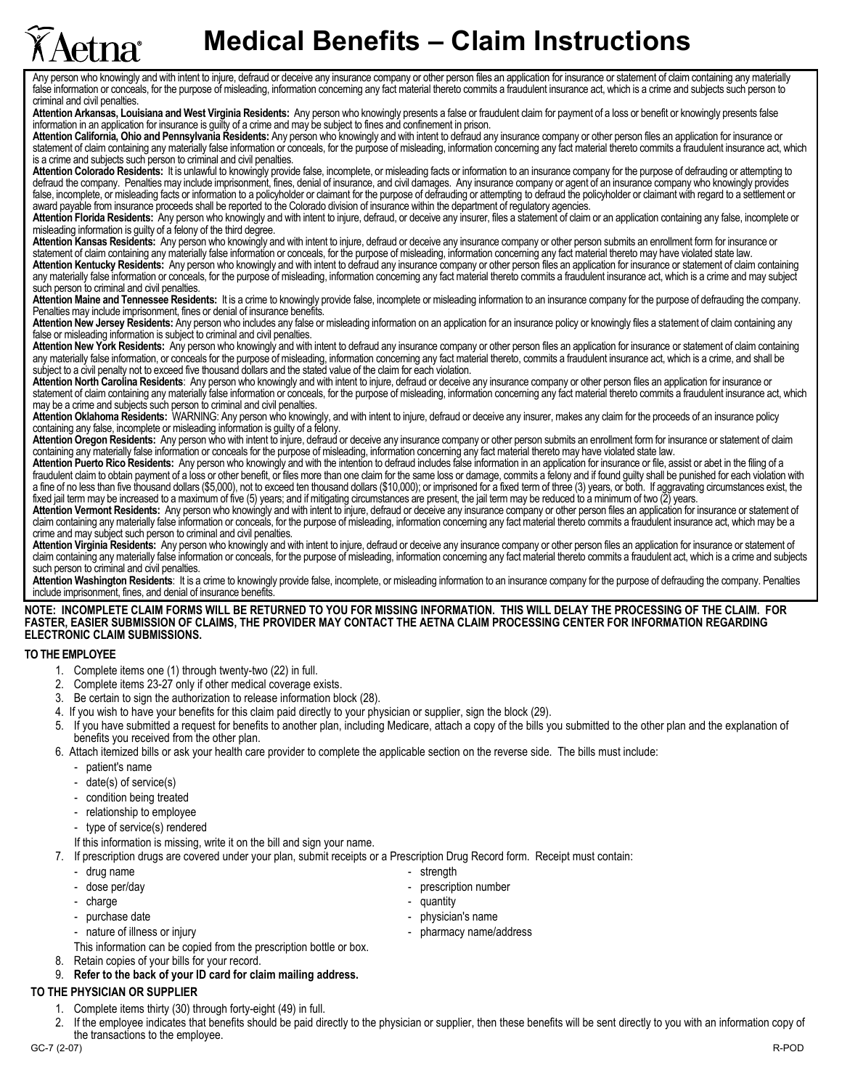## **Medical Benefits - Claim Instructions**

Any person who knowingly and with intent to injure, defraud or deceive any insurance company or other person files an application for insurance or statement of claim containing any materially false information or conceals, for the purpose of misleading, information concerning any fact material thereto commits a fraudulent insurance act, which is a crime and subjects such person to criminal and civil penalties.

**Attention Arkansas, Louisiana and West Virginia Residents:** Any person who knowingly presents a false or fraudulent claim for payment of a loss or benefit or knowingly presents false information in an application for insurance is guilty of a crime and may be subject to fines and confinement in prison.

Attention California, Ohio and Pennsylvania Residents: Any person who knowingly and with intent to defraud any insurance company or other person files an application for insurance or statement of claim containing any materially false information or conceals, for the purpose of misleading, information concerning any fact material thereto commits a fraudulent insurance act, which is a crime and subjects such person to criminal and civil penalties.

**Attention Colorado Residents:** It is unlawful to knowingly provide false, incomplete, or misleading facts or information to an insurance company for the purpose of defrauding or attempting to defraud the company. Penalties may include imprisonment, fines, denial of insurance, and civil damages. Any insurance company or agent of an insurance company who knowingly provides false, incomplete, or misleading facts or information to a policyholder or claimant for the purpose of defrauding or attempting to defraud the policyholder or claimant with regard to a settlement or award payable from insurance proceeds shall be reported to the Colorado division of insurance within the department of regulatory agencies.

**Attention Florida Residents:** Any person who knowingly and with intent to injure, defraud, or deceive any insurer, files a statement of claim or an application containing any false, incomplete or misleading information is guilty of a felony of the third degree.

Attention Kansas Residents: Any person who knowingly and with intent to injure, defraud or deceive any insurance company or other person submits an enrollment form for insurance or statement of claim containing any materially false information or conceals, for the purpose of misleading, information concerning any fact material thereto may have violated state law. **Attention Kentucky Residents:** Any person who knowingly and with intent to defraud any insurance company or other person files an application for insurance or statement of claim containing any materially false information or conceals, for the purpose of misleading, information concerning any fact material thereto commits a fraudulent insurance act, which is a crime and may subject such person to criminal and civil penalties.

**Attention Maine and Tennessee Residents:** It is a crime to knowingly provide false, incomplete or misleading information to an insurance company for the purpose of defrauding the company. Penalties may include imprisonment, fines or denial of insurance benefits.

Attention New Jersey Residents: Any person who includes any false or misleading information on an application for an insurance policy or knowingly files a statement of claim containing any false or misleading information is subject to criminal and civil penalties.

**Attention New York Residents:** Any person who knowingly and with intent to defraud any insurance company or other person files an application for insurance or statement of claim containing any materially false information, or conceals for the purpose of misleading, information concerning any fact material thereto, commits a fraudulent insurance act, which is a crime, and shall be subject to a civil penalty not to exceed five thousand dollars and the stated value of the claim for each violation.

**Attention North Carolina Residents**: Any person who knowingly and with intent to injure, defraud or deceive any insurance company or other person files an application for insurance or statement of claim containing any materially false information or conceals, for the purpose of misleading, information concerning any fact material thereto commits a fraudulent insurance act, which may be a crime and subjects such person to criminal and civil penalties.

**Attention Oklahoma Residents:** WARNING: Any person who knowingly, and with intent to injure, defraud or deceive any insurer, makes any claim for the proceeds of an insurance policy containing any false, incomplete or misleading information is guilty of a felony.

Attention Oregon Residents: Any person who with intent to injure, defraud or deceive any insurance company or other person submits an enrollment form for insurance or statement of claim containing any materially false information or conceals for the purpose of misleading, information concerning any fact material thereto may have violated state law.

**Attention Puerto Rico Residents:** Any person who knowingly and with the intention to defraud includes false information in an application for insurance or file, assist or abet in the filing of a fraudulent claim to obtain payment of a loss or other benefit, or files more than one claim for the same loss or damage, commits a felony and if found guilty shall be punished for each violation with a fine of no less than five thousand dollars (\$5,000), not to exceed ten thousand dollars (\$10,000); or imprisoned for a fixed term of three (3) years, or both. If aggravating circumstances exist, the fixed jail term may be increased to a maximum of five (5) years; and if mitigating circumstances are present, the jail term may be reduced to a minimum of two (2) years.

**Attention Vermont Residents:** Any person who knowingly and with intent to injure, defraud or deceive any insurance company or other person files an application for insurance or statement of claim containing any materially false information or conceals, for the purpose of misleading, information concerning any fact material thereto commits a fraudulent insurance act, which may be a crime and may subject such person to criminal and civil penalties.

**Attention Virginia Residents:** Any person who knowingly and with intent to injure, defraud or deceive any insurance company or other person files an application for insurance or statement of claim containing any materially false information or conceals, for the purpose of misleading, information concerning any fact material thereto commits a fraudulent act, which is a crime and subjects such person to criminal and civil penalties.

**Attention Washington Residents**: It is a crime to knowingly provide false, incomplete, or misleading information to an insurance company for the purpose of defrauding the company. Penalties include imprisonment, fines, and denial of insurance benefits.

**NOTE: INCOMPLETE CLAIM FORMS WILL BE RETURNED TO YOU FOR MISSING INFORMATION. THIS WILL DELAY THE PROCESSING OF THE CLAIM. FOR FASTER, EASIER SUBMISSION OF CLAIMS, THE PROVIDER MAY CONTACT THE AETNA CLAIM PROCESSING CENTER FOR INFORMATION REGARDING ELECTRONIC CLAIM SUBMISSIONS.** 

## **TO THE EMPLOYEE**

- 1. Complete items one (1) through twenty-two (22) in full.
- 2. Complete items 23-27 only if other medical coverage exists.
- 3. Be certain to sign the authorization to release information block (28).
- 4. If you wish to have your benefits for this claim paid directly to your physician or supplier, sign the block (29).
- 5. If you have submitted a request for benefits to another plan, including Medicare, attach a copy of the bills you submitted to the other plan and the explanation of benefits you received from the other plan.
- 6. Attach itemized bills or ask your health care provider to complete the applicable section on the reverse side. The bills must include:
	- patient's name

etna

- $date(s)$  of service $(s)$
- condition being treated
- relationship to employee
- type of service(s) rendered
- If this information is missing, write it on the bill and sign your name.

7. If prescription drugs are covered under your plan, submit receipts or a Prescription Drug Record form. Receipt must contain:

- drug name  $\sim$  strength
- 
- charge  $\sim$  quantity
- 
- 
- This information can be copied from the prescription bottle or box.
- 8. Retain copies of your bills for your record.
- 9. **Refer to the back of your ID card for claim mailing address.**

## **TO THE PHYSICIAN OR SUPPLIER**

- Complete items thirty (30) through forty-eight (49) in full.
- 2. If the employee indicates that benefits should be paid directly to the physician or supplier, then these benefits will be sent directly to you with an information copy of the transactions to the employee.
- dose per/day  $-$  prescription number
	-
- purchase date  $\overline{a}$  and  $\overline{b}$  and  $\overline{b}$  are physician's name
- nature of illness or injury  $\qquad \qquad \qquad$  pharmacy name/address